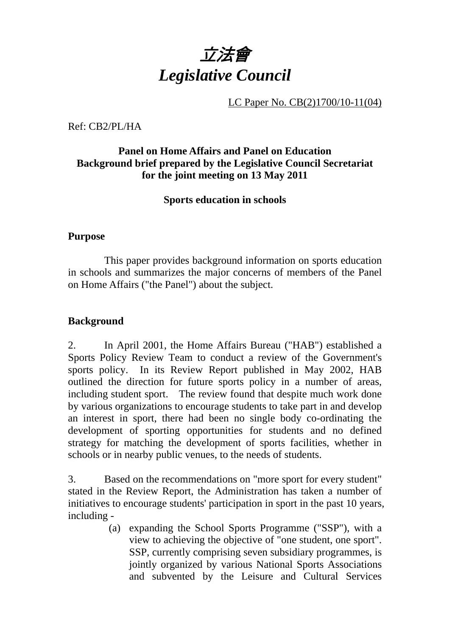

LC Paper No. CB(2)1700/10-11(04)

Ref: CB2/PL/HA

## **Panel on Home Affairs and Panel on Education Background brief prepared by the Legislative Council Secretariat for the joint meeting on 13 May 2011**

## **Sports education in schools**

#### **Purpose**

This paper provides background information on sports education in schools and summarizes the major concerns of members of the Panel on Home Affairs ("the Panel") about the subject.

## **Background**

2. In April 2001, the Home Affairs Bureau ("HAB") established a Sports Policy Review Team to conduct a review of the Government's sports policy. In its Review Report published in May 2002, HAB outlined the direction for future sports policy in a number of areas, including student sport. The review found that despite much work done by various organizations to encourage students to take part in and develop an interest in sport, there had been no single body co-ordinating the development of sporting opportunities for students and no defined strategy for matching the development of sports facilities, whether in schools or in nearby public venues, to the needs of students.

3. Based on the recommendations on "more sport for every student" stated in the Review Report, the Administration has taken a number of initiatives to encourage students' participation in sport in the past 10 years, including -

> (a) expanding the School Sports Programme ("SSP"), with a view to achieving the objective of "one student, one sport". SSP, currently comprising seven subsidiary programmes, is jointly organized by various National Sports Associations and subvented by the Leisure and Cultural Services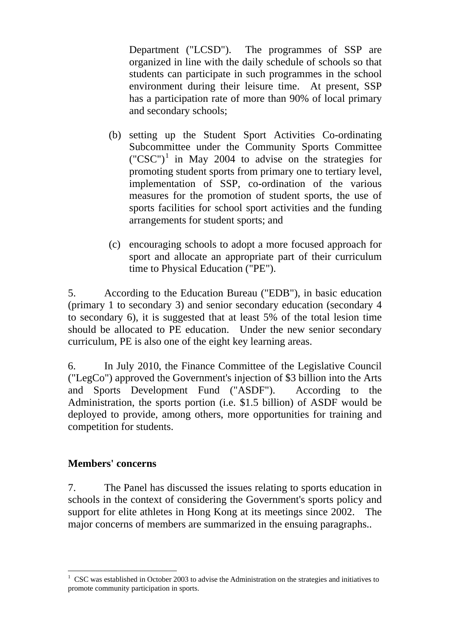Department ("LCSD"). The programmes of SSP are organized in line with the daily schedule of schools so that students can participate in such programmes in the school environment during their leisure time. At present, SSP has a participation rate of more than 90% of local primary and secondary schools;

- (b) setting up the Student Sport Activities Co-ordinating Subcommittee under the Community Sports Committee  $({}^{\circ}CSC^{\prime})^1$  in May 2004 to advise on the strategies for promoting student sports from primary one to tertiary level, implementation of SSP, co-ordination of the various measures for the promotion of student sports, the use of sports facilities for school sport activities and the funding arrangements for student sports; and
- (c) encouraging schools to adopt a more focused approach for sport and allocate an appropriate part of their curriculum time to Physical Education ("PE").

5. According to the Education Bureau ("EDB"), in basic education (primary 1 to secondary 3) and senior secondary education (secondary 4 to secondary 6), it is suggested that at least 5% of the total lesion time should be allocated to PE education. Under the new senior secondary curriculum, PE is also one of the eight key learning areas.

6. In July 2010, the Finance Committee of the Legislative Council ("LegCo") approved the Government's injection of \$3 billion into the Arts and Sports Development Fund ("ASDF"). According to the Administration, the sports portion (i.e. \$1.5 billion) of ASDF would be deployed to provide, among others, more opportunities for training and competition for students.

### **Members' concerns**

1

7. The Panel has discussed the issues relating to sports education in schools in the context of considering the Government's sports policy and support for elite athletes in Hong Kong at its meetings since 2002. The major concerns of members are summarized in the ensuing paragraphs..

<sup>&</sup>lt;sup>1</sup> CSC was established in October 2003 to advise the Administration on the strategies and initiatives to promote community participation in sports.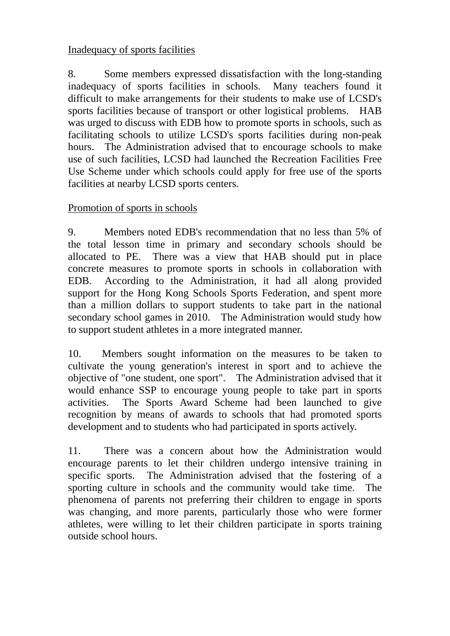# Inadequacy of sports facilities

8. Some members expressed dissatisfaction with the long-standing inadequacy of sports facilities in schools. Many teachers found it difficult to make arrangements for their students to make use of LCSD's sports facilities because of transport or other logistical problems. HAB was urged to discuss with EDB how to promote sports in schools, such as facilitating schools to utilize LCSD's sports facilities during non-peak hours. The Administration advised that to encourage schools to make use of such facilities, LCSD had launched the Recreation Facilities Free Use Scheme under which schools could apply for free use of the sports facilities at nearby LCSD sports centers.

# Promotion of sports in schools

9. Members noted EDB's recommendation that no less than 5% of the total lesson time in primary and secondary schools should be allocated to PE. There was a view that HAB should put in place concrete measures to promote sports in schools in collaboration with EDB. According to the Administration, it had all along provided support for the Hong Kong Schools Sports Federation, and spent more than a million dollars to support students to take part in the national secondary school games in 2010. The Administration would study how to support student athletes in a more integrated manner.

10. Members sought information on the measures to be taken to cultivate the young generation's interest in sport and to achieve the objective of "one student, one sport". The Administration advised that it would enhance SSP to encourage young people to take part in sports activities. The Sports Award Scheme had been launched to give recognition by means of awards to schools that had promoted sports development and to students who had participated in sports actively.

11. There was a concern about how the Administration would encourage parents to let their children undergo intensive training in specific sports. The Administration advised that the fostering of a sporting culture in schools and the community would take time. The phenomena of parents not preferring their children to engage in sports was changing, and more parents, particularly those who were former athletes, were willing to let their children participate in sports training outside school hours.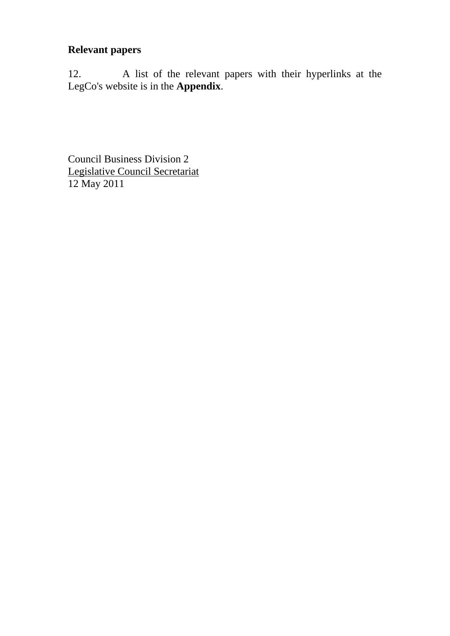# **Relevant papers**

12. A list of the relevant papers with their hyperlinks at the LegCo's website is in the **Appendix**.

Council Business Division 2 Legislative Council Secretariat 12 May 2011